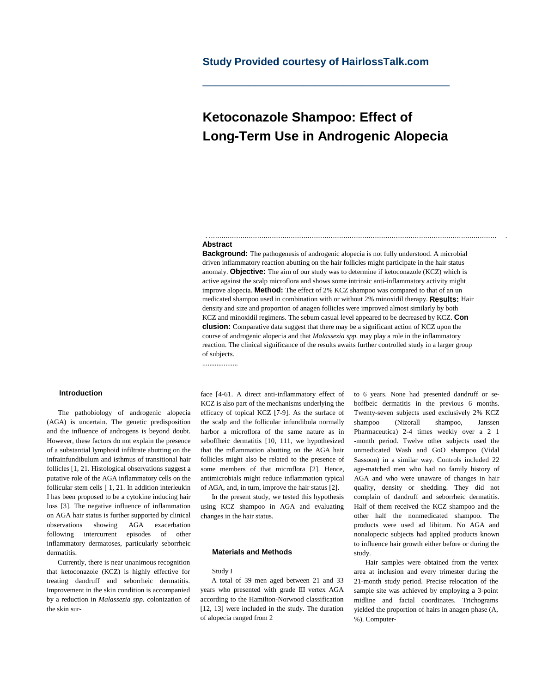# **Study Provided courtesy of HairlossTalk.com**

# **Ketoconazole Shampoo: Effect of Long-Term Use in Androgenic Alopecia**

\_\_\_\_\_\_\_\_\_\_\_\_\_\_\_\_\_\_\_\_\_\_\_\_\_\_\_\_\_\_\_\_\_\_\_\_\_\_\_\_\_\_

#### **Abstract**

....................

**Background:** The pathogenesis of androgenic alopecia is not fully understood. A microbial driven inflammatory reaction abutting on the hair follicles might participate in the hair status anomaly. **Objective:** The aim of our study was to determine if ketoconazole (KCZ) which is active against the scalp microflora and shows some intrinsic anti-inflammatory activity might improve alopecia. **Method:** The effect of 2% KCZ shampoo was compared to that of an un medicated shampoo used in combination with or without 2% minoxidil therapy. **Results:** Hair density and size and proportion of anagen follicles were improved almost similarly by both KCZ and minoxidil regimens. The sebum casual level appeared to be decreased by KCZ. **Con clusion:** Comparative data suggest that there may be a significant action of KCZ upon the course of androgenic alopecia and that *Malassezia spp.* may play a role in the inflammatory reaction. The clinical significance of the results awaits further controlled study in a larger group of subjects.

. ......................................................................................................................................... .

### **Introduction**

The pathobiology of androgenic alopecia (AGA) is uncertain. The genetic predisposition and the influence of androgens is beyond doubt. However, these factors do not explain the presence of a substantial lymphoid infiltrate abutting on the infrainfundibulum and isthmus of transitional hair follicles [1, 21. Histological observations suggest a putative role of the AGA inflammatory cells on the follicular stem cells [ 1, 21. In addition interleukin I has been proposed to be a cytokine inducing hair loss [3]. The negative influence of inflammation on AGA hair status is further supported by clinical observations showing AGA exacerbation following intercurrent episodes of other inflammatory dermatoses, particularly seborrheic dermatitis.

Currently, there is near unanimous recognition that ketoconazole (KCZ) is highly effective for treating dandruff and seborrheic dermatitis. Improvement in the skin condition is accompanied by a reduction in *Malassezia spp.* colonization of the skin surface [4-61. A direct anti-inflammatory effect of KCZ is also part of the mechanisms underlying the efficacy of topical KCZ [7-9]. As the surface of the scalp and the follicular infundibula normally harbor a microflora of the same nature as in seboffheic dermatitis [10, 111, we hypothesized that the mflammation abutting on the AGA hair follicles might also be related to the presence of some members of that microflora [2]. Hence, antimicrobials might reduce inflammation typical of AGA, and, in turn, improve the hair status [2].

In the present study, we tested this hypothesis using KCZ shampoo in AGA and evaluating changes in the hair status.

#### **Materials and Methods**

#### Study I

A total of 39 men aged between 21 and 33 years who presented with grade III vertex AGA according to the Hamilton-Norwood classification [12, 13] were included in the study. The duration of alopecia ranged from 2

to 6 years. None had presented dandruff or seboffbeic dermatitis in the previous 6 months. Twenty-seven subjects used exclusively 2% KCZ shampoo (Nizorall shampoo, Janssen Pharmaceutica) 2-4 times weekly over a 2 1 -month period. Twelve other subjects used the unmedicated Wash and GoO shampoo (Vidal Sassoon) in a similar way. Controls included 22 age-matched men who had no family history of AGA and who were unaware of changes in hair quality, density or shedding. They did not complain of dandruff and seborrheic dermatitis. Half of them received the KCZ shampoo and the other half the nonmedicated shampoo. The products were used ad libitum. No AGA and nonalopecic subjects had applied products known to influence hair growth either before or during the study.

Hair samples were obtained from the vertex area at inclusion and every trimester during the 21-month study period. Precise relocation of the sample site was achieved by employing a 3-point midline and facial coordinates. Trichograms yielded the proportion of hairs in anagen phase (A, %). Computer-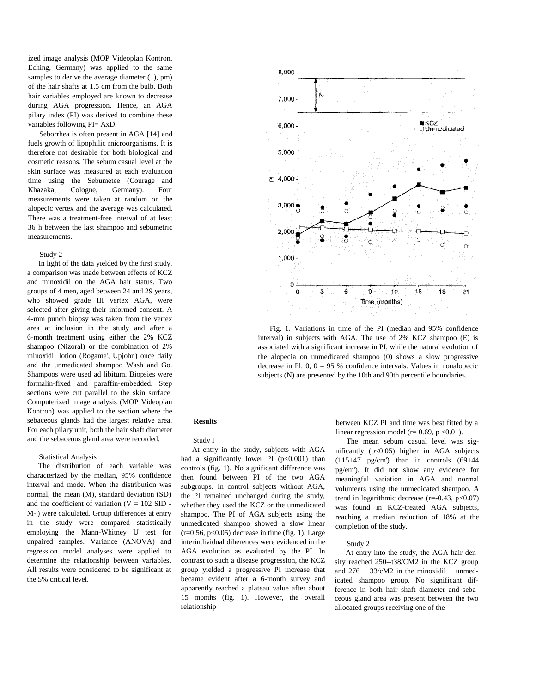ized image analysis (MOP Videoplan Kontron, Eching, Germany) was applied to the same samples to derive the average diameter  $(1)$ , pm) of the hair shafts at 1.5 cm from the bulb. Both hair variables employed are known to decrease during AGA progression. Hence, an AGA pilary index (PI) was derived to combine these variables following PI= AxD.

Seborrhea is often present in AGA [14] and fuels growth of lipophilic rnicroorganisms. It is therefore not desirable for both biological and cosmetic reasons. The sebum casual level at the skin surface was measured at each evaluation time using the Sebumetee (Courage and Khazaka, Cologne, Germany). Four measurements were taken at random on the alopecic vertex and the average was calculated. There was a treatment-free interval of at least 36 h between the last shampoo and sebumetric measurements.

#### Study 2

In light of the data yielded by the first study, a comparison was made between effects of KCZ and minoxidil on the AGA hair status. Two groups of 4 men, aged between 24 and 29 years, who showed grade III vertex AGA, were selected after giving their informed consent. A 4-mm punch biopsy was taken from the vertex area at inclusion in the study and after a 6-month treatment using either the 2% KCZ shampoo (Nizoral) or the combination of 2% minoxidil lotion (Rogame', Upjohn) once daily and the unmedicated shampoo Wash and Go. Shampoos were used ad libitum. Biopsies were formalin-fixed and paraffin-embedded. Step sections were cut parallel to the skin surface. Computerized image analysis (MOP Videoplan Kontron) was applied to the section where the sebaceous glands had the largest relative area. For each pilary unit, both the hair shaft diameter and the sebaceous gland area were recorded.

#### Statistical Analysis

The distribution of each variable was characterized by the median, 95% confidence interval and mode. When the distribution was normal, the mean (M), standard deviation (SD) and the coefficient of variation  $(V = 102$  SID -M-') were calculated. Group differences at entry in the study were compared statistically employing the Mann-Whitney U test for unpaired samples. Variance (ANOVA) and regression model analyses were applied to determine the relationship between variables. All results were considered to be significant at the 5% critical level.



Fig. 1. Variations in time of the PI (median and 95% confidence interval) in subjects with AGA. The use of 2% KCZ shampoo (E) is associated with a significant increase in PI, while the natural evolution of the alopecia on unmedicated shampoo (0) shows a slow progressive decrease in Pl. 0,  $0 = 95$  % confidence intervals. Values in nonalopecic subjects (N) are presented by the 10th and 90th percentile boundaries.

## **Results**

#### Study I

At entry in the study, subjects with AGA had a significantly lower PI  $(p<0.001)$  than controls (fig. 1). No significant difference was then found between PI of the two AGA subgroups. In control subjects without AGA, the PI remained unchanged during the study, whether they used the KCZ or the unmedicated shampoo. The PI of AGA subjects using the unmedicated shampoo showed a slow linear  $(r=0.56, p<0.05)$  decrease in time (fig. 1). Large interindividual diherences were evidenced in the AGA evolution as evaluated by the PI. In contrast to such a disease progression, the KCZ group yielded a progressive PI increase that became evident after a 6-month survey and apparently reached a plateau value after about 15 months (fig. 1). However, the overall relationship

between KCZ PI and time was best fitted by a linear regression model ( $r= 0.69$ ,  $p < 0.01$ ).

The mean sebum casual level was significantly  $(p<0.05)$  higher in AGA subjects  $(115\pm47 \text{ pg/cm'})$  than in controls  $(69\pm44$ pg/em'). It did not show any evidence for meaningful variation in AGA and normal volunteers using the unmedicated shampoo. A trend in logarithmic decrease  $(r=-0.43, p<0.07)$ was found in KCZ-treated AGA subjects, reaching a median reduction of 18% at the completion of the study.

### Study 2

At entry into the study, the AGA hair density reached 250--t38/CM2 in the KCZ group and  $276 \pm 33$ /cM2 in the minoxidil + unmedicated shampoo group. No significant difference in both hair shaft diameter and sebaceous gland area was present between the two allocated groups receiving one of the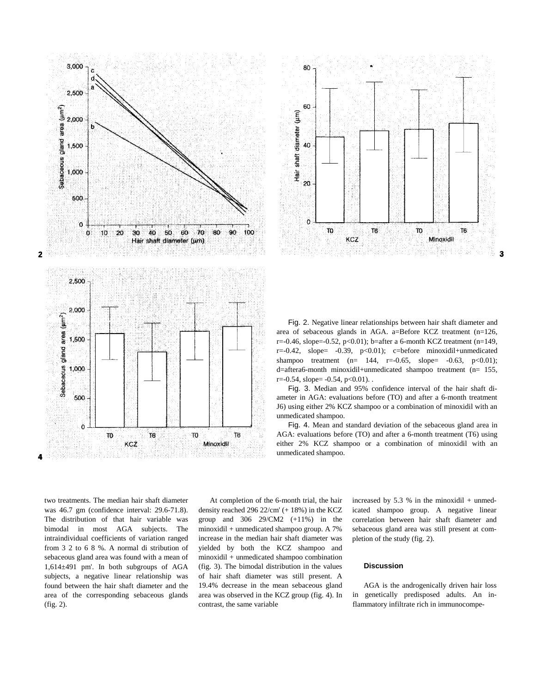



Fig. 2. Negative linear relationships between hair shaft diameter and area of sebaceous glands in AGA. a=Before KCZ treatment (n=126,  $r = -0.46$ , slope= $-0.52$ ,  $p < 0.01$ ); b=after a 6-month KCZ treatment (n=149,  $r=-0.42$ , slope=  $-0.39$ ,  $p<0.01$ ; c=before minoxidil+unmedicated shampoo treatment (n= 144, r=-0.65, slope= -0.63, p<0.01); d=aftera6-month minoxidil+unmedicated shampoo treatment (n= 155,  $r = -0.54$ , slope=  $-0.54$ ,  $p < 0.01$ ).

Fig. 3. Median and 95% confidence interval of the hair shaft diameter in AGA: evaluations before (TO) and after a 6-month treatment J6) using either 2% KCZ shampoo or a combination of minoxidil with an unmedicated shampoo.

Fig. 4. Mean and standard deviation of the sebaceous gland area in AGA: evaluations before (TO) and after a 6-month treatment (T6) using either 2% KCZ shampoo or a combination of minoxidil with an unmedicated shampoo.

two treatments. The median hair shaft diameter was 46.7 gm (confidence interval: 29.6-71.8). The distribution of that hair variable was bimodal in most AGA subjects. The intraindividual coefficients of variation ranged from 3 2 to 6 8 %. A normal di stribution of sebaceous gland area was found with a mean of 1,614±491 pm'. In both subgroups of AGA subjects, a negative linear relationship was found between the hair shaft diameter and the area of the corresponding sebaceous glands (fig. 2).

At completion of the 6-month trial, the hair density reached 296 22/cm' (+ 18%) in the KCZ group and 306 29/CM2 (+11%) in the minoxidil + unmedicated shampoo group. A 7% increase in the median hair shaft diameter was yielded by both the KCZ shampoo and minoxidil + unmedicated shampoo combination (fig. 3). The bimodal distribution in the values of hair shaft diameter was still present. A 19.4% decrease in the mean sebaceous gland area was observed in the KCZ group (fig. 4). In contrast, the same variable

increased by 5.3 % in the minoxidil  $+$  unmedicated shampoo group. A negative linear correlation between hair shaft diameter and sebaceous gland area was still present at completion of the study (fig. 2).

#### **Discussion**

AGA is the androgenically driven hair loss in genetically predisposed adults. An inflammatory infiltrate rich in immunocompe